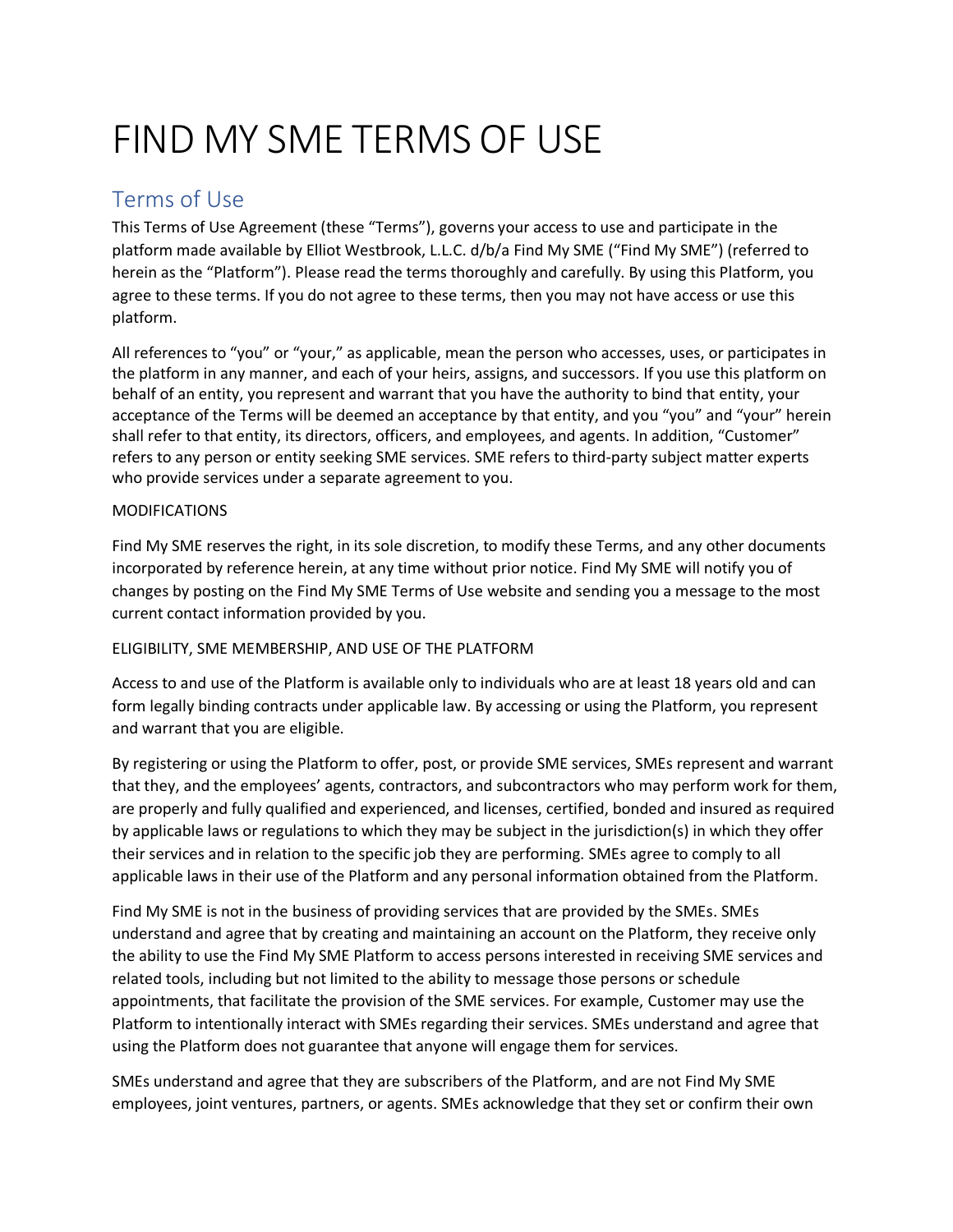# FIND MY SME TERMS OF USE

# Terms of Use

This Terms of Use Agreement (these "Terms"), governs your access to use and participate in the platform made available by Elliot Westbrook, L.L.C. d/b/a Find My SME ("Find My SME") (referred to herein as the "Platform"). Please read the terms thoroughly and carefully. By using this Platform, you agree to these terms. If you do not agree to these terms, then you may not have access or use this platform.

All references to "you" or "your," as applicable, mean the person who accesses, uses, or participates in the platform in any manner, and each of your heirs, assigns, and successors. If you use this platform on behalf of an entity, you represent and warrant that you have the authority to bind that entity, your acceptance of the Terms will be deemed an acceptance by that entity, and you "you" and "your" herein shall refer to that entity, its directors, officers, and employees, and agents. In addition, "Customer" refers to any person or entity seeking SME services. SME refers to third-party subject matter experts who provide services under a separate agreement to you.

# MODIFICATIONS

Find My SME reserves the right, in its sole discretion, to modify these Terms, and any other documents incorporated by reference herein, at any time without prior notice. Find My SME will notify you of changes by posting on the Find My SME Terms of Use website and sending you a message to the most current contact information provided by you.

# ELIGIBILITY, SME MEMBERSHIP, AND USE OF THE PLATFORM

Access to and use of the Platform is available only to individuals who are at least 18 years old and can form legally binding contracts under applicable law. By accessing or using the Platform, you represent and warrant that you are eligible.

By registering or using the Platform to offer, post, or provide SME services, SMEs represent and warrant that they, and the employees' agents, contractors, and subcontractors who may perform work for them, are properly and fully qualified and experienced, and licenses, certified, bonded and insured as required by applicable laws or regulations to which they may be subject in the jurisdiction(s) in which they offer their services and in relation to the specific job they are performing. SMEs agree to comply to all applicable laws in their use of the Platform and any personal information obtained from the Platform.

Find My SME is not in the business of providing services that are provided by the SMEs. SMEs understand and agree that by creating and maintaining an account on the Platform, they receive only the ability to use the Find My SME Platform to access persons interested in receiving SME services and related tools, including but not limited to the ability to message those persons or schedule appointments, that facilitate the provision of the SME services. For example, Customer may use the Platform to intentionally interact with SMEs regarding their services. SMEs understand and agree that using the Platform does not guarantee that anyone will engage them for services.

SMEs understand and agree that they are subscribers of the Platform, and are not Find My SME employees, joint ventures, partners, or agents. SMEs acknowledge that they set or confirm their own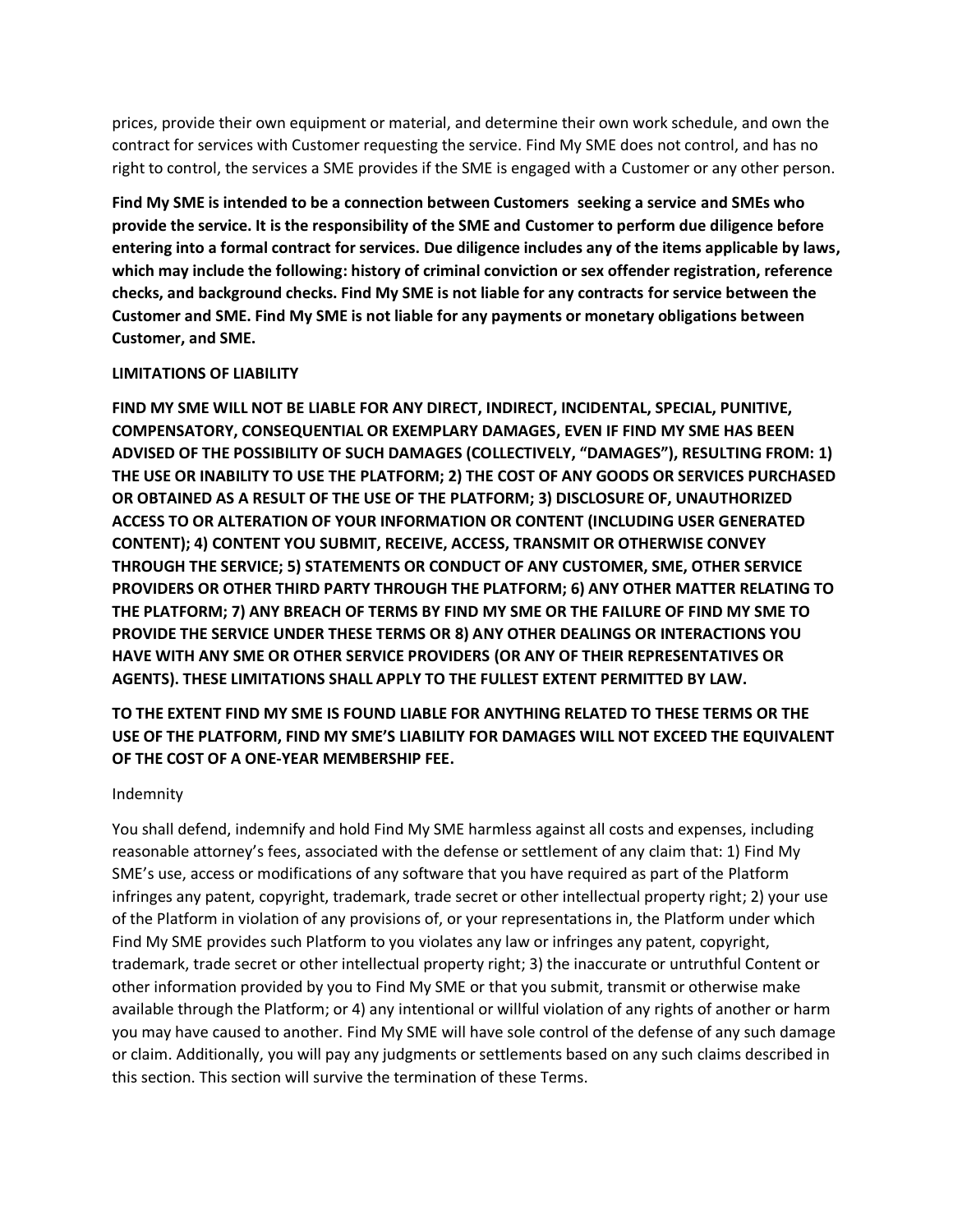prices, provide their own equipment or material, and determine their own work schedule, and own the contract for services with Customer requesting the service. Find My SME does not control, and has no right to control, the services a SME provides if the SME is engaged with a Customer or any other person.

**Find My SME is intended to be a connection between Customers seeking a service and SMEs who provide the service. It is the responsibility of the SME and Customer to perform due diligence before entering into a formal contract for services. Due diligence includes any of the items applicable by laws, which may include the following: history of criminal conviction or sex offender registration, reference checks, and background checks. Find My SME is not liable for any contracts for service between the Customer and SME. Find My SME is not liable for any payments or monetary obligations between Customer, and SME.**

#### **LIMITATIONS OF LIABILITY**

**FIND MY SME WILL NOT BE LIABLE FOR ANY DIRECT, INDIRECT, INCIDENTAL, SPECIAL, PUNITIVE, COMPENSATORY, CONSEQUENTIAL OR EXEMPLARY DAMAGES, EVEN IF FIND MY SME HAS BEEN ADVISED OF THE POSSIBILITY OF SUCH DAMAGES (COLLECTIVELY, "DAMAGES"), RESULTING FROM: 1) THE USE OR INABILITY TO USE THE PLATFORM; 2) THE COST OF ANY GOODS OR SERVICES PURCHASED OR OBTAINED AS A RESULT OF THE USE OF THE PLATFORM; 3) DISCLOSURE OF, UNAUTHORIZED ACCESS TO OR ALTERATION OF YOUR INFORMATION OR CONTENT (INCLUDING USER GENERATED CONTENT); 4) CONTENT YOU SUBMIT, RECEIVE, ACCESS, TRANSMIT OR OTHERWISE CONVEY THROUGH THE SERVICE; 5) STATEMENTS OR CONDUCT OF ANY CUSTOMER, SME, OTHER SERVICE PROVIDERS OR OTHER THIRD PARTY THROUGH THE PLATFORM; 6) ANY OTHER MATTER RELATING TO THE PLATFORM; 7) ANY BREACH OF TERMS BY FIND MY SME OR THE FAILURE OF FIND MY SME TO PROVIDE THE SERVICE UNDER THESE TERMS OR 8) ANY OTHER DEALINGS OR INTERACTIONS YOU HAVE WITH ANY SME OR OTHER SERVICE PROVIDERS (OR ANY OF THEIR REPRESENTATIVES OR AGENTS). THESE LIMITATIONS SHALL APPLY TO THE FULLEST EXTENT PERMITTED BY LAW.** 

# **TO THE EXTENT FIND MY SME IS FOUND LIABLE FOR ANYTHING RELATED TO THESE TERMS OR THE USE OF THE PLATFORM, FIND MY SME'S LIABILITY FOR DAMAGES WILL NOT EXCEED THE EQUIVALENT OF THE COST OF A ONE-YEAR MEMBERSHIP FEE.**

#### Indemnity

You shall defend, indemnify and hold Find My SME harmless against all costs and expenses, including reasonable attorney's fees, associated with the defense or settlement of any claim that: 1) Find My SME's use, access or modifications of any software that you have required as part of the Platform infringes any patent, copyright, trademark, trade secret or other intellectual property right; 2) your use of the Platform in violation of any provisions of, or your representations in, the Platform under which Find My SME provides such Platform to you violates any law or infringes any patent, copyright, trademark, trade secret or other intellectual property right; 3) the inaccurate or untruthful Content or other information provided by you to Find My SME or that you submit, transmit or otherwise make available through the Platform; or 4) any intentional or willful violation of any rights of another or harm you may have caused to another. Find My SME will have sole control of the defense of any such damage or claim. Additionally, you will pay any judgments or settlements based on any such claims described in this section. This section will survive the termination of these Terms.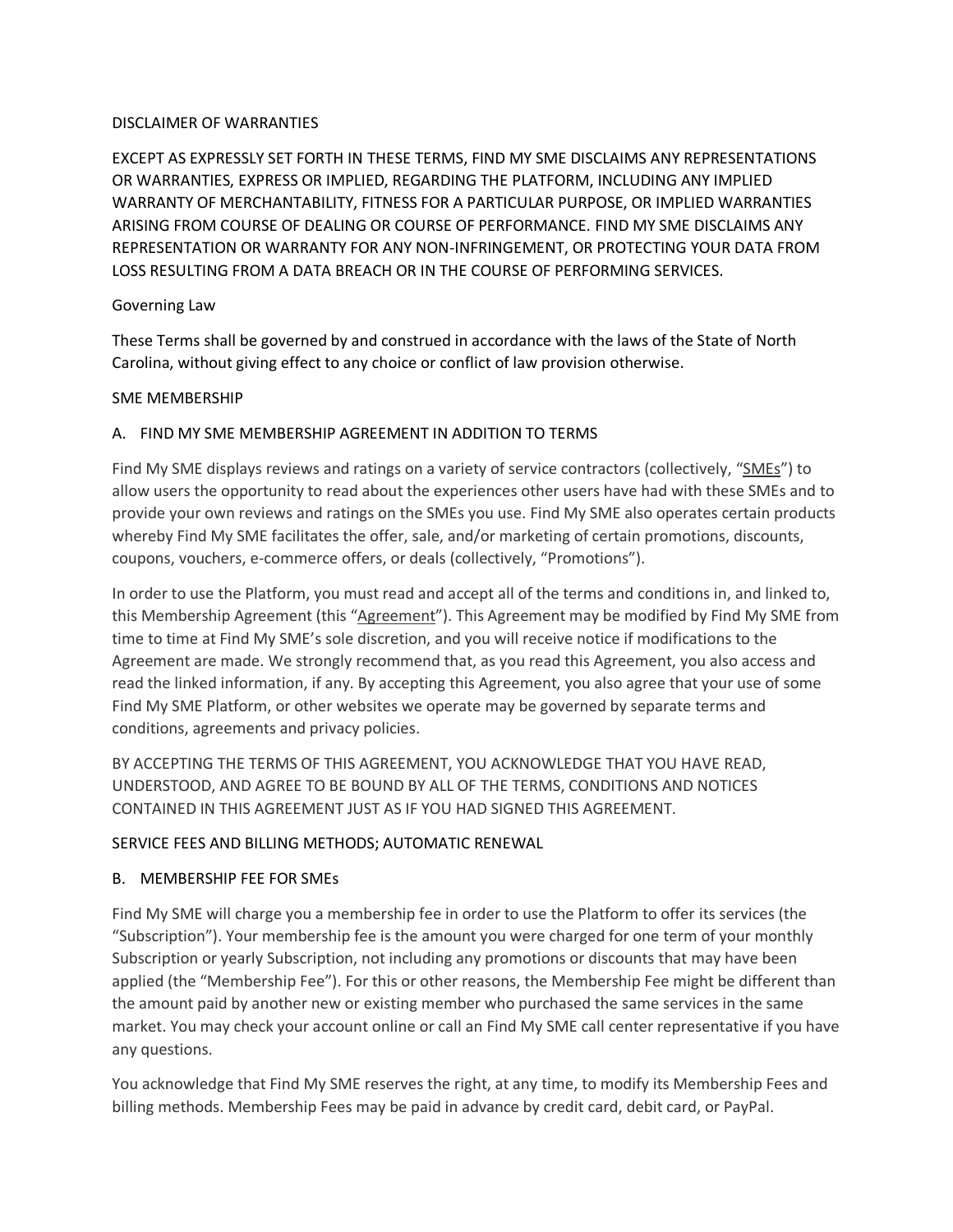#### DISCLAIMER OF WARRANTIES

EXCEPT AS EXPRESSLY SET FORTH IN THESE TERMS, FIND MY SME DISCLAIMS ANY REPRESENTATIONS OR WARRANTIES, EXPRESS OR IMPLIED, REGARDING THE PLATFORM, INCLUDING ANY IMPLIED WARRANTY OF MERCHANTABILITY, FITNESS FOR A PARTICULAR PURPOSE, OR IMPLIED WARRANTIES ARISING FROM COURSE OF DEALING OR COURSE OF PERFORMANCE. FIND MY SME DISCLAIMS ANY REPRESENTATION OR WARRANTY FOR ANY NON-INFRINGEMENT, OR PROTECTING YOUR DATA FROM LOSS RESULTING FROM A DATA BREACH OR IN THE COURSE OF PERFORMING SERVICES.

#### Governing Law

These Terms shall be governed by and construed in accordance with the laws of the State of North Carolina, without giving effect to any choice or conflict of law provision otherwise.

#### SME MEMBERSHIP

# A. FIND MY SME MEMBERSHIP AGREEMENT IN ADDITION TO TERMS

Find My SME displays reviews and ratings on a variety of service contractors (collectively, "SMEs") to allow users the opportunity to read about the experiences other users have had with these SMEs and to provide your own reviews and ratings on the SMEs you use. Find My SME also operates certain products whereby Find My SME facilitates the offer, sale, and/or marketing of certain promotions, discounts, coupons, vouchers, e-commerce offers, or deals (collectively, "Promotions").

In order to use the Platform, you must read and accept all of the terms and conditions in, and linked to, this Membership Agreement (this "Agreement"). This Agreement may be modified by Find My SME from time to time at Find My SME's sole discretion, and you will receive notice if modifications to the Agreement are made. We strongly recommend that, as you read this Agreement, you also access and read the linked information, if any. By accepting this Agreement, you also agree that your use of some Find My SME Platform, or other websites we operate may be governed by separate terms and conditions, agreements and privacy policies.

BY ACCEPTING THE TERMS OF THIS AGREEMENT, YOU ACKNOWLEDGE THAT YOU HAVE READ, UNDERSTOOD, AND AGREE TO BE BOUND BY ALL OF THE TERMS, CONDITIONS AND NOTICES CONTAINED IN THIS AGREEMENT JUST AS IF YOU HAD SIGNED THIS AGREEMENT.

# SERVICE FEES AND BILLING METHODS; AUTOMATIC RENEWAL

# B. MEMBERSHIP FEE FOR SMEs

Find My SME will charge you a membership fee in order to use the Platform to offer its services (the "Subscription"). Your membership fee is the amount you were charged for one term of your monthly Subscription or yearly Subscription, not including any promotions or discounts that may have been applied (the "Membership Fee"). For this or other reasons, the Membership Fee might be different than the amount paid by another new or existing member who purchased the same services in the same market. You may check your account online or call an Find My SME call center representative if you have any questions.

You acknowledge that Find My SME reserves the right, at any time, to modify its Membership Fees and billing methods. Membership Fees may be paid in advance by credit card, debit card, or PayPal.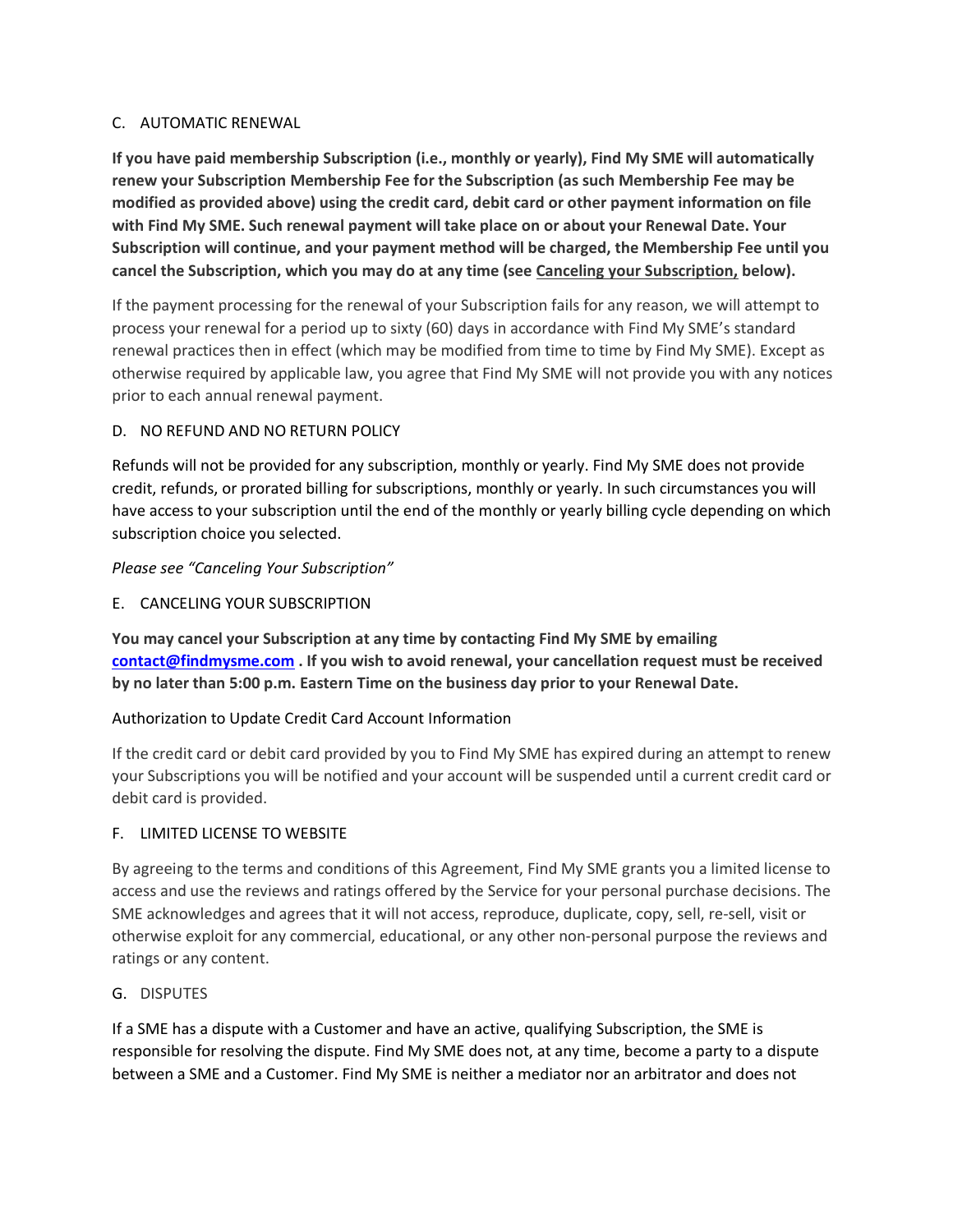## C. AUTOMATIC RENEWAL

**If you have paid membership Subscription (i.e., monthly or yearly), Find My SME will automatically renew your Subscription Membership Fee for the Subscription (as such Membership Fee may be modified as provided above) using the credit card, debit card or other payment information on file with Find My SME. Such renewal payment will take place on or about your Renewal Date. Your Subscription will continue, and your payment method will be charged, the Membership Fee until you cancel the Subscription, which you may do at any time (see Canceling your Subscription, below).**

If the payment processing for the renewal of your Subscription fails for any reason, we will attempt to process your renewal for a period up to sixty (60) days in accordance with Find My SME's standard renewal practices then in effect (which may be modified from time to time by Find My SME). Except as otherwise required by applicable law, you agree that Find My SME will not provide you with any notices prior to each annual renewal payment.

#### D. NO REFUND AND NO RETURN POLICY

Refunds will not be provided for any subscription, monthly or yearly. Find My SME does not provide credit, refunds, or prorated billing for subscriptions, monthly or yearly. In such circumstances you will have access to your subscription until the end of the monthly or yearly billing cycle depending on which subscription choice you selected.

#### *Please see "Canceling Your Subscription"*

E. CANCELING YOUR SUBSCRIPTION

**You may cancel your Subscription at any time by contacting Find My SME by emailing [contact@findmysme.com](mailto:contact@findmysme.com) . If you wish to avoid renewal, your cancellation request must be received by no later than 5:00 p.m. Eastern Time on the business day prior to your Renewal Date.**

# Authorization to Update Credit Card Account Information

If the credit card or debit card provided by you to Find My SME has expired during an attempt to renew your Subscriptions you will be notified and your account will be suspended until a current credit card or debit card is provided.

#### F. LIMITED LICENSE TO WEBSITE

By agreeing to the terms and conditions of this Agreement, Find My SME grants you a limited license to access and use the reviews and ratings offered by the Service for your personal purchase decisions. The SME acknowledges and agrees that it will not access, reproduce, duplicate, copy, sell, re-sell, visit or otherwise exploit for any commercial, educational, or any other non-personal purpose the reviews and ratings or any content.

#### G. DISPUTES

If a SME has a dispute with a Customer and have an active, qualifying Subscription, the SME is responsible for resolving the dispute. Find My SME does not, at any time, become a party to a dispute between a SME and a Customer. Find My SME is neither a mediator nor an arbitrator and does not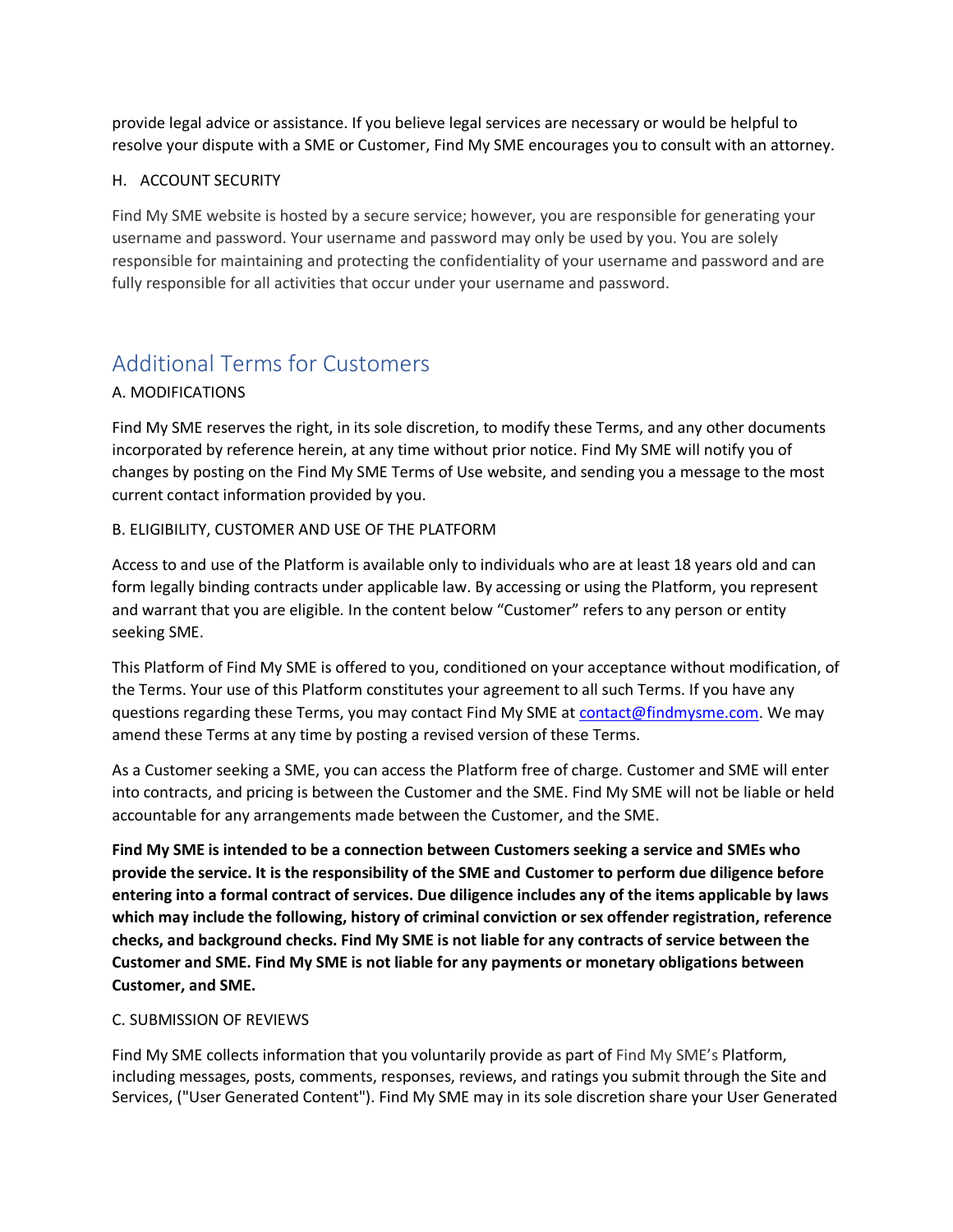provide legal advice or assistance. If you believe legal services are necessary or would be helpful to resolve your dispute with a SME or Customer, Find My SME encourages you to consult with an attorney.

## H. ACCOUNT SECURITY

Find My SME website is hosted by a secure service; however, you are responsible for generating your username and password. Your username and password may only be used by you. You are solely responsible for maintaining and protecting the confidentiality of your username and password and are fully responsible for all activities that occur under your username and password.

# Additional Terms for Customers

# A. MODIFICATIONS

Find My SME reserves the right, in its sole discretion, to modify these Terms, and any other documents incorporated by reference herein, at any time without prior notice. Find My SME will notify you of changes by posting on the Find My SME Terms of Use website, and sending you a message to the most current contact information provided by you.

# B. ELIGIBILITY, CUSTOMER AND USE OF THE PLATFORM

Access to and use of the Platform is available only to individuals who are at least 18 years old and can form legally binding contracts under applicable law. By accessing or using the Platform, you represent and warrant that you are eligible. In the content below "Customer" refers to any person or entity seeking SME.

This Platform of Find My SME is offered to you, conditioned on your acceptance without modification, of the Terms. Your use of this Platform constitutes your agreement to all such Terms. If you have any questions regarding these Terms, you may contact Find My SME at [contact@findmysme.com.](mailto:contact@findmysme.com) We may amend these Terms at any time by posting a revised version of these Terms.

As a Customer seeking a SME, you can access the Platform free of charge. Customer and SME will enter into contracts, and pricing is between the Customer and the SME. Find My SME will not be liable or held accountable for any arrangements made between the Customer, and the SME.

**Find My SME is intended to be a connection between Customers seeking a service and SMEs who provide the service. It is the responsibility of the SME and Customer to perform due diligence before entering into a formal contract of services. Due diligence includes any of the items applicable by laws which may include the following, history of criminal conviction or sex offender registration, reference checks, and background checks. Find My SME is not liable for any contracts of service between the Customer and SME. Find My SME is not liable for any payments or monetary obligations between Customer, and SME.**

#### C. SUBMISSION OF REVIEWS

Find My SME collects information that you voluntarily provide as part of Find My SME's Platform, including messages, posts, comments, responses, reviews, and ratings you submit through the Site and Services, ("User Generated Content"). Find My SME may in its sole discretion share your User Generated